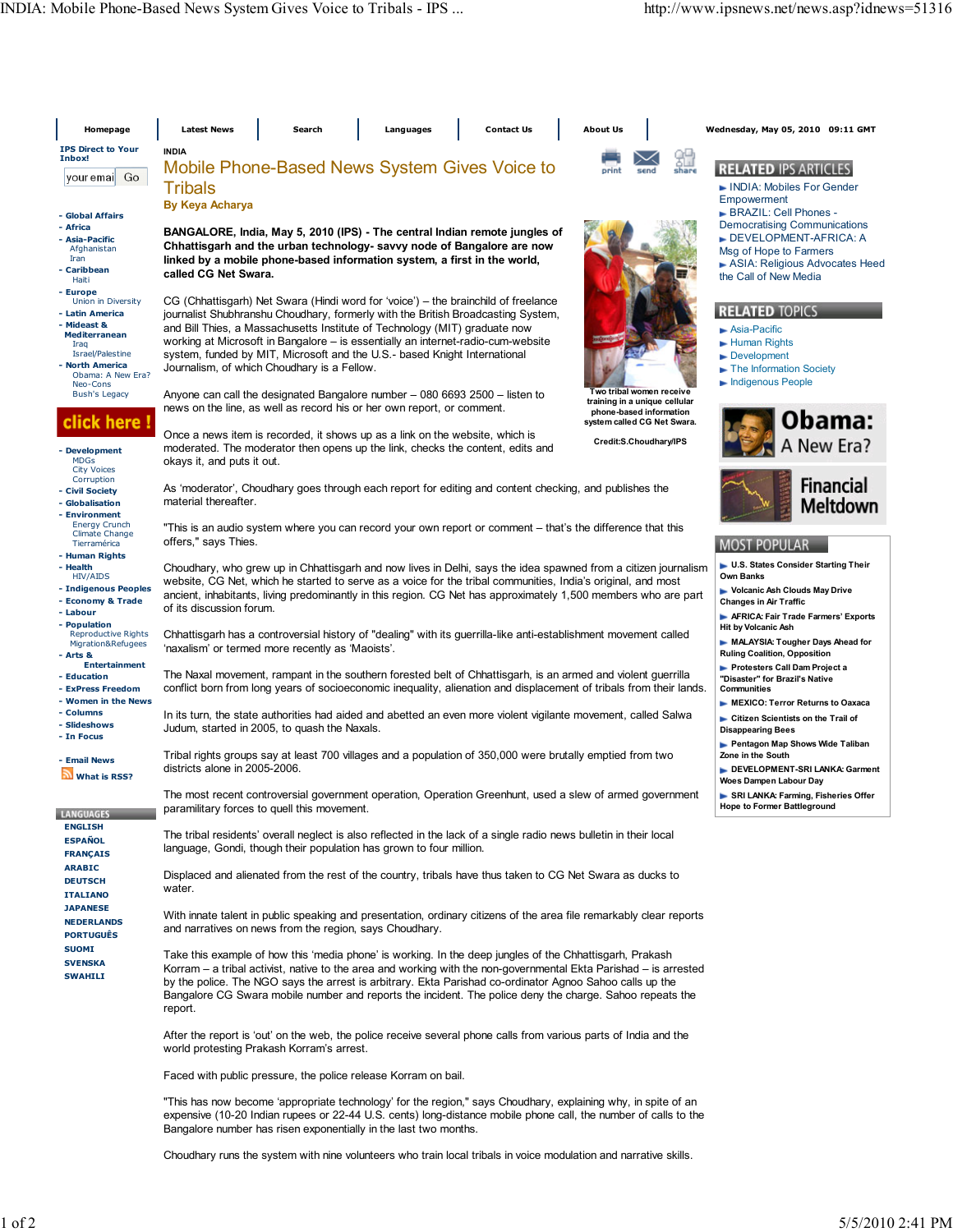| Homepage                                                                                                                                                                      | <b>Latest News</b>                                                                                                                                                                                                                                                                                                                                                                                                                                                                     | Search                                                                                                                                                                                                                                                                                                                                                                                                                                                               | Languages                                                                                              |  | <b>Contact Us</b> |  | <b>About Us</b>                                                                                                     |                        |       | Wednesday, May 05, 2010 09:11 GMT                                                                                    |
|-------------------------------------------------------------------------------------------------------------------------------------------------------------------------------|----------------------------------------------------------------------------------------------------------------------------------------------------------------------------------------------------------------------------------------------------------------------------------------------------------------------------------------------------------------------------------------------------------------------------------------------------------------------------------------|----------------------------------------------------------------------------------------------------------------------------------------------------------------------------------------------------------------------------------------------------------------------------------------------------------------------------------------------------------------------------------------------------------------------------------------------------------------------|--------------------------------------------------------------------------------------------------------|--|-------------------|--|---------------------------------------------------------------------------------------------------------------------|------------------------|-------|----------------------------------------------------------------------------------------------------------------------|
| <b>IPS Direct to Your</b><br>Inbox!<br>youremail Go                                                                                                                           | <b>INDIA</b><br>Mobile Phone-Based News System Gives Voice to<br>Tribals<br><b>By Keya Acharya</b>                                                                                                                                                                                                                                                                                                                                                                                     |                                                                                                                                                                                                                                                                                                                                                                                                                                                                      |                                                                                                        |  |                   |  | print                                                                                                               | send                   | share | <b>RELATED IPS ARTICLES</b><br>INDIA: Mobiles For Gender<br>Empowerment                                              |
| - Global Affairs<br>- Africa<br>- Asia-Pacific<br>Afghanistan<br>Iran<br>- Caribbean<br>Haiti                                                                                 | BANGALORE, India, May 5, 2010 (IPS) - The central Indian remote jungles of<br>Chhattisgarh and the urban technology- savvy node of Bangalore are now<br>linked by a mobile phone-based information system, a first in the world,<br>called CG Net Swara.                                                                                                                                                                                                                               | BRAZIL: Cell Phones -<br><b>Democratising Communications</b><br>DEVELOPMENT-AFRICA: A<br>Msg of Hope to Farmers<br>ASIA: Religious Advocates Heed<br>the Call of New Media                                                                                                                                                                                                                                                                                           |                                                                                                        |  |                   |  |                                                                                                                     |                        |       |                                                                                                                      |
| - Europe<br>Union in Diversity<br>- Latin America<br>- Mideast &<br><b>Mediterranean</b><br>Iraq<br>Israel/Palestine<br><b>North America</b><br>Obama: A New Era?<br>Neo-Cons |                                                                                                                                                                                                                                                                                                                                                                                                                                                                                        | CG (Chhattisgarh) Net Swara (Hindi word for 'voice') – the brainchild of freelance<br>journalist Shubhranshu Choudhary, formerly with the British Broadcasting System,<br>and Bill Thies, a Massachusetts Institute of Technology (MIT) graduate now<br>working at Microsoft in Bangalore – is essentially an internet-radio-cum-website<br>system, funded by MIT, Microsoft and the U.S.- based Knight International<br>Journalism, of which Choudhary is a Fellow. |                                                                                                        |  |                   |  |                                                                                                                     |                        |       | <b>RELATED TOPICS</b><br>Asia-Pacific<br>Human Rights<br>Development<br>The Information Society<br>Indigenous People |
| <b>Bush's Legacy</b><br>ick here !<br>- Development                                                                                                                           |                                                                                                                                                                                                                                                                                                                                                                                                                                                                                        | Anyone can call the designated Bangalore number – 080 6693 2500 – listen to<br>news on the line, as well as record his or her own report, or comment.<br>Once a news item is recorded, it shows up as a link on the website, which is<br>moderated. The moderator then opens up the link, checks the content, edits and                                                                                                                                              |                                                                                                        |  |                   |  | Two tribal women receive<br>training in a unique cellular<br>phone-based information<br>system called CG Net Swara. | Credit:S.Choudhary/IPS |       | Obama:<br>A New Era?                                                                                                 |
| <b>MDGs</b><br><b>City Voices</b><br>Corruption<br>- Civil Society<br>- Globalisation<br>- Environment                                                                        | okays it, and puts it out.<br>material thereafter.                                                                                                                                                                                                                                                                                                                                                                                                                                     |                                                                                                                                                                                                                                                                                                                                                                                                                                                                      | As 'moderator', Choudhary goes through each report for editing and content checking, and publishes the |  |                   |  |                                                                                                                     |                        |       | <b>Financial</b><br>Meltdown                                                                                         |
| <b>Energy Crunch</b><br><b>Climate Change</b><br>Tierramérica<br>- Human Rights<br>- Health<br>HIV/AIDS<br>- Indigenous Peoples<br>- Economy & Trade                          | "This is an audio system where you can record your own report or comment – that's the difference that this<br>offers," says Thies.<br>Choudhary, who grew up in Chhattisgarh and now lives in Delhi, says the idea spawned from a citizen journalism<br>website, CG Net, which he started to serve as a voice for the tribal communities, India's original, and most<br>ancient, inhabitants, living predominantly in this region. CG Net has approximately 1,500 members who are part | <b>MOST POPULAR</b><br>U.S. States Consider Starting Their<br>Own Banks<br>Volcanic Ash Clouds May Drive<br><b>Changes in Air Traffic</b>                                                                                                                                                                                                                                                                                                                            |                                                                                                        |  |                   |  |                                                                                                                     |                        |       |                                                                                                                      |
| - Labour<br>- Population<br><b>Reproductive Rights</b><br>Migration&Refugees<br>- Arts &<br><b>Entertainment</b>                                                              | of its discussion forum.<br>Chhattisgarh has a controversial history of "dealing" with its guerrilla-like anti-establishment movement called<br>'naxalism' or termed more recently as 'Maoists'.                                                                                                                                                                                                                                                                                       | AFRICA: Fair Trade Farmers' Exports<br><b>Hit by Volcanic Ash</b><br>MALAYSIA: Tougher Days Ahead for<br><b>Ruling Coalition, Opposition</b><br>Protesters Call Dam Project a                                                                                                                                                                                                                                                                                        |                                                                                                        |  |                   |  |                                                                                                                     |                        |       |                                                                                                                      |
| - Education<br>- ExPress Freedom<br>- Women in the News<br>- Columns<br>- Slideshows<br>- In Focus                                                                            | The Naxal movement, rampant in the southern forested belt of Chhattisgarh, is an armed and violent guerrilla<br>conflict born from long years of socioeconomic inequality, alienation and displacement of tribals from their lands.<br>In its turn, the state authorities had aided and abetted an even more violent vigilante movement, called Salwa<br>Judum, started in 2005, to quash the Naxals.                                                                                  | "Disaster" for Brazil's Native<br>Communities<br>MEXICO: Terror Returns to Oaxaca<br>Citizen Scientists on the Trail of<br><b>Disappearing Bees</b><br>Pentagon Map Shows Wide Taliban<br>Zone in the South<br>DEVELOPMENT-SRI LANKA: Garment<br>Woes Dampen Labour Day<br>SRI LANKA: Farming, Fisheries Offer                                                                                                                                                       |                                                                                                        |  |                   |  |                                                                                                                     |                        |       |                                                                                                                      |
| - Email News<br>What is RSS?                                                                                                                                                  | Tribal rights groups say at least 700 villages and a population of 350,000 were brutally emptied from two<br>districts alone in 2005-2006.<br>The most recent controversial government operation, Operation Greenhunt, used a slew of armed government                                                                                                                                                                                                                                 |                                                                                                                                                                                                                                                                                                                                                                                                                                                                      |                                                                                                        |  |                   |  |                                                                                                                     |                        |       |                                                                                                                      |
| LANGUAGES<br><b>ENGLISH</b><br><b>ESPAÑOL</b><br><b>FRANÇAIS</b>                                                                                                              | paramilitary forces to quell this movement.<br>The tribal residents' overall neglect is also reflected in the lack of a single radio news bulletin in their local<br>language, Gondi, though their population has grown to four million.                                                                                                                                                                                                                                               | <b>Hope to Former Battleground</b>                                                                                                                                                                                                                                                                                                                                                                                                                                   |                                                                                                        |  |                   |  |                                                                                                                     |                        |       |                                                                                                                      |
| <b>ARABIC</b><br><b>DEUTSCH</b><br><b>ITALIANO</b><br><b>JAPANESE</b>                                                                                                         | Displaced and alienated from the rest of the country, tribals have thus taken to CG Net Swara as ducks to<br>water.<br>With innate talent in public speaking and presentation, ordinary citizens of the area file remarkably clear reports                                                                                                                                                                                                                                             |                                                                                                                                                                                                                                                                                                                                                                                                                                                                      |                                                                                                        |  |                   |  |                                                                                                                     |                        |       |                                                                                                                      |
| <b>NEDERLANDS</b><br><b>PORTUGUËS</b><br><b>SUOMI</b><br><b>SVENSKA</b><br><b>SWAHILI</b>                                                                                     | and narratives on news from the region, says Choudhary.<br>Take this example of how this 'media phone' is working. In the deep jungles of the Chhattisgarh, Prakash<br>Korram – a tribal activist, native to the area and working with the non-governmental Ekta Parishad – is arrested<br>by the police. The NGO says the arrest is arbitrary. Ekta Parishad co-ordinator Agnoo Sahoo calls up the                                                                                    |                                                                                                                                                                                                                                                                                                                                                                                                                                                                      |                                                                                                        |  |                   |  |                                                                                                                     |                        |       |                                                                                                                      |
|                                                                                                                                                                               | Bangalore CG Swara mobile number and reports the incident. The police deny the charge. Sahoo repeats the<br>report.<br>After the report is 'out' on the web, the police receive several phone calls from various parts of India and the<br>world protesting Prakash Korram's arrest.                                                                                                                                                                                                   |                                                                                                                                                                                                                                                                                                                                                                                                                                                                      |                                                                                                        |  |                   |  |                                                                                                                     |                        |       |                                                                                                                      |
|                                                                                                                                                                               | Faced with public pressure, the police release Korram on bail.                                                                                                                                                                                                                                                                                                                                                                                                                         |                                                                                                                                                                                                                                                                                                                                                                                                                                                                      |                                                                                                        |  |                   |  |                                                                                                                     |                        |       |                                                                                                                      |
|                                                                                                                                                                               | "This has now become 'appropriate technology' for the region," says Choudhary, explaining why, in spite of an<br>expensive (10-20 Indian rupees or 22-44 U.S. cents) long-distance mobile phone call, the number of calls to the<br>Bangalore number has risen exponentially in the last two months.                                                                                                                                                                                   |                                                                                                                                                                                                                                                                                                                                                                                                                                                                      |                                                                                                        |  |                   |  |                                                                                                                     |                        |       |                                                                                                                      |

Choudhary runs the system with nine volunteers who train local tribals in voice modulation and narrative skills.